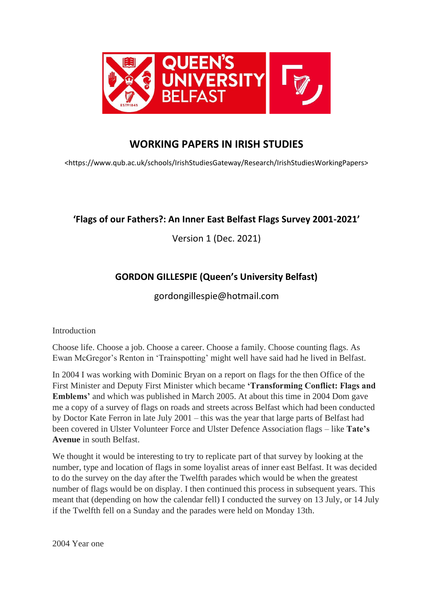

# **WORKING PAPERS IN IRISH STUDIES**

<https://www.qub.ac.uk/schools/IrishStudiesGateway/Research/IrishStudiesWorkingPapers>

## **'Flags of our Fathers?: An Inner East Belfast Flags Survey 2001-2021'**

Version 1 (Dec. 2021)

# **GORDON GILLESPIE (Queen's University Belfast)**

## gordongillespie@hotmail.com

Introduction

Choose life. Choose a job. Choose a career. Choose a family. Choose counting flags. As Ewan McGregor's Renton in 'Trainspotting' might well have said had he lived in Belfast.

In 2004 I was working with Dominic Bryan on a report on flags for the then Office of the First Minister and Deputy First Minister which became **'Transforming Conflict: Flags and Emblems'** and which was published in March 2005. At about this time in 2004 Dom gave me a copy of a survey of flags on roads and streets across Belfast which had been conducted by Doctor Kate Ferron in late July 2001 – this was the year that large parts of Belfast had been covered in Ulster Volunteer Force and Ulster Defence Association flags – like **Tate's Avenue** in south Belfast.

We thought it would be interesting to try to replicate part of that survey by looking at the number, type and location of flags in some loyalist areas of inner east Belfast. It was decided to do the survey on the day after the Twelfth parades which would be when the greatest number of flags would be on display. I then continued this process in subsequent years. This meant that (depending on how the calendar fell) I conducted the survey on 13 July, or 14 July if the Twelfth fell on a Sunday and the parades were held on Monday 13th.

2004 Year one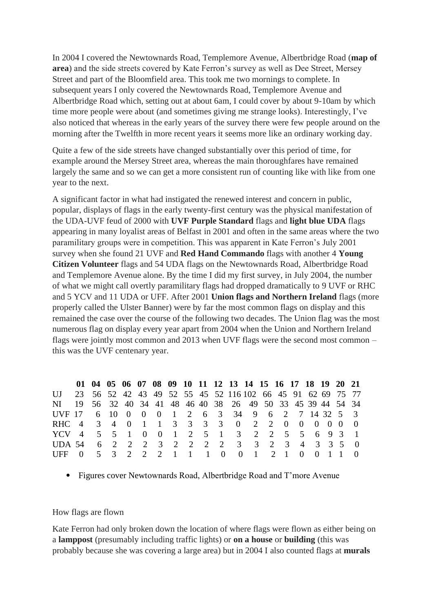In 2004 I covered the Newtownards Road, Templemore Avenue, Albertbridge Road (**map of area**) and the side streets covered by Kate Ferron's survey as well as Dee Street, Mersey Street and part of the Bloomfield area. This took me two mornings to complete. In subsequent years I only covered the Newtownards Road, Templemore Avenue and Albertbridge Road which, setting out at about 6am, I could cover by about 9-10am by which time more people were about (and sometimes giving me strange looks). Interestingly, I've also noticed that whereas in the early years of the survey there were few people around on the morning after the Twelfth in more recent years it seems more like an ordinary working day.

Quite a few of the side streets have changed substantially over this period of time, for example around the Mersey Street area, whereas the main thoroughfares have remained largely the same and so we can get a more consistent run of counting like with like from one year to the next.

A significant factor in what had instigated the renewed interest and concern in public, popular, displays of flags in the early twenty-first century was the physical manifestation of the UDA-UVF feud of 2000 with **UVF Purple Standard** flags and **light blue UDA** flags appearing in many loyalist areas of Belfast in 2001 and often in the same areas where the two paramilitary groups were in competition. This was apparent in Kate Ferron's July 2001 survey when she found 21 UVF and **Red Hand Commando** flags with another 4 **Young Citizen Volunteer** flags and 54 UDA flags on the Newtownards Road, Albertbridge Road and Templemore Avenue alone. By the time I did my first survey, in July 2004, the number of what we might call overtly paramilitary flags had dropped dramatically to 9 UVF or RHC and 5 YCV and 11 UDA or UFF. After 2001 **Union flags and Northern Ireland** flags (more properly called the Ulster Banner) were by far the most common flags on display and this remained the case over the course of the following two decades. The Union flag was the most numerous flag on display every year apart from 2004 when the Union and Northern Ireland flags were jointly most common and 2013 when UVF flags were the second most common – this was the UVF centenary year.

|                                                               |  |  |  |  |  | 01 04 05 06 07 08 09 10 11 12 13 14 15 16 17 18 19 20 21 |  |  |  |  |
|---------------------------------------------------------------|--|--|--|--|--|----------------------------------------------------------|--|--|--|--|
| UJ 23 56 52 42 43 49 52 55 45 52 116 102 66 45 91 62 69 75 77 |  |  |  |  |  |                                                          |  |  |  |  |
| NI 19 56 32 40 34 41 48 46 40 38 26 49 50 33 45 39 44 54 34   |  |  |  |  |  |                                                          |  |  |  |  |
| UVF 17 6 10 0 0 0 1 2 6 3 34 9 6 2 7 14 32 5 3                |  |  |  |  |  |                                                          |  |  |  |  |
| RHC 4 3 4 0 1 1 3 3 3 3 0 2 2 0 0 0 0 0 0                     |  |  |  |  |  |                                                          |  |  |  |  |
| YCV 4 5 5 1 0 0 1 2 5 1 3 2 2 5 5 6 9 3 1                     |  |  |  |  |  |                                                          |  |  |  |  |
| UDA 54  6  2  2  2  3  2  2  2  2  3  3  2  3  4  3  3  5  0  |  |  |  |  |  |                                                          |  |  |  |  |
| UFF 0 5 3 2 2 2 1 1 1 0 0 1 2 1 0 0 1 1 0                     |  |  |  |  |  |                                                          |  |  |  |  |

• Figures cover Newtownards Road, Albertbridge Road and T'more Avenue

## How flags are flown

Kate Ferron had only broken down the location of where flags were flown as either being on a **lamppost** (presumably including traffic lights) or **on a house** or **building** (this was probably because she was covering a large area) but in 2004 I also counted flags at **murals**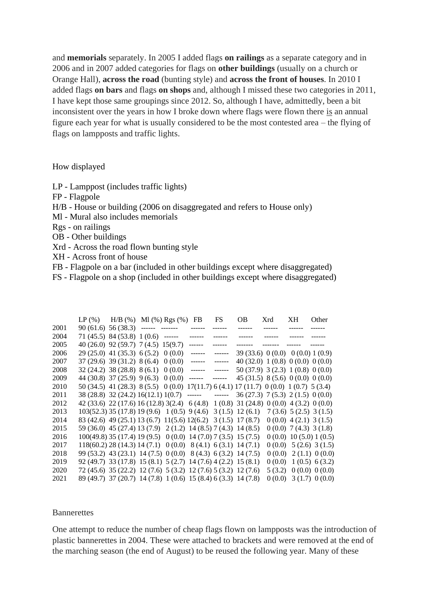and **memorials** separately. In 2005 I added flags **on railings** as a separate category and in 2006 and in 2007 added categories for flags on **other buildings** (usually on a church or Orange Hall), **across the road** (bunting style) and **across the front of houses**. In 2010 I added flags **on bars** and flags **on shops** and, although I missed these two categories in 2011, I have kept those same groupings since 2012. So, although I have, admittedly, been a bit inconsistent over the years in how I broke down where flags were flown there is an annual figure each year for what is usually considered to be the most contested area – the flying of flags on lampposts and traffic lights.

## How displayed

- LP Lamppost (includes traffic lights)
- FP Flagpole
- H/B House or building (2006 on disaggregated and refers to House only)
- Ml Mural also includes memorials
- Rgs on railings
- OB Other buildings
- Xrd Across the road flown bunting style
- XH Across front of house
- FB Flagpole on a bar (included in other buildings except where disaggregated)
- FS Flagpole on a shop (included in other buildings except where disaggregated)

|      | LP $(\%)$ H/B $(\%)$ Ml $(\%)$ Rgs $(\%)$ FB                                           |  |               | <b>FS</b> | OB —                              | Xrd           | XH. | Other                    |
|------|----------------------------------------------------------------------------------------|--|---------------|-----------|-----------------------------------|---------------|-----|--------------------------|
| 2001 | $90(61.6) 56(38.3)$ ------ -------                                                     |  | $- - - - - -$ |           | -------                           |               |     |                          |
| 2004 | $71(45.5)$ 84 (53.8) 1 (0.6) ------                                                    |  | ------        |           |                                   | $- - - - - -$ |     |                          |
| 2005 | 40 (26.0) 92 (59.7) 7 (4.5) 15(9.7)                                                    |  |               |           |                                   |               |     |                          |
| 2006 | $29(25.0)$ 41 (35.3) 6 (5.2) 0 (0.0)                                                   |  | ------        | ------    | 39(33.6) 0(0.0) 0(0.0) 1(0.9)     |               |     |                          |
| 2007 | $37(29.6)$ 39(31.2) 8(6.4) 0(0.0)                                                      |  | ------        | ------    | 40 (32.0) 1 (0.8) 0 (0.0) 0 (0.0) |               |     |                          |
| 2008 | $32(24.2)$ 38(28.8) 8(6.1) 0(0.0)                                                      |  | $-----$       | ------    | 50 (37.9) 3 (2.3) 1 (0.8) 0 (0.0) |               |     |                          |
| 2009 | 44 (30.8) 37 (25.9) 9 (6.3) 0 (0.0)                                                    |  | ------        | ------    | 45 (31.5) 8 (5.6) 0 (0.0) 0 (0.0) |               |     |                          |
| 2010 | 50 (34.5) 41 (28.3) 8 (5.5) 0 (0.0) 17(11.7) 6 (4.1) 17 (11.7) 0 (0.0) 1 (0.7) 5 (3.4) |  |               |           |                                   |               |     |                          |
| 2011 | 38 (28.8) 32 (24.2) 16 (12.1) 1(0.7) ------ ------ 36 (27.3) 7 (5.3) 2 (1.5) 0 (0.0)   |  |               |           |                                   |               |     |                          |
| 2012 | 42 (33.6) 22 (17.6) 16 (12.8) 3(2.4) 6 (4.8) 1 (0.8) 31 (24.8) 0 (0.0) 4 (3.2) 0 (0.0) |  |               |           |                                   |               |     |                          |
| 2013 | $103(52.3) 35(17.8) 19(9.6) 1(0.5) 9(4.6) 3(1.5) 12(6.1)$                              |  |               |           |                                   |               |     | 7(3.6) 5(2.5) 3(1.5)     |
| 2014 | 83 (42.6) 49 (25.1) 13 (6.7) 11(5.6) 12(6.2) 3 (1.5) 17 (8.7)                          |  |               |           |                                   |               |     | $0(0.0)$ 4 (2.1) 3 (1.5) |
| 2015 | 59 (36.0) 45 (27.4) 13 (7.9) 2 (1.2) 14 (8.5) 7 (4.3) 14 (8.5)                         |  |               |           |                                   |               |     | $0(0.0)$ 7 (4.3) 3 (1.8) |
| 2016 | $100(49.8)$ 35 (17.4) 19 (9.5) 0 (0.0) 14 (7.0) 7 (3.5) 15 (7.5)                       |  |               |           |                                   |               |     | 0(0.0) 10(5.0) 1(0.5)    |
| 2017 | $118(60.2) 28(14.3) 14(7.1) 0(0.0) 8(4.1) 6(3.1) 14(7.1)$                              |  |               |           |                                   |               |     | $0(0.0)$ 5 (2.6) 3 (1.5) |
| 2018 | 99 (53.2) 43 (23.1) 14 (7.5) 0 (0.0) 8 (4.3) 6 (3.2) 14 (7.5)                          |  |               |           |                                   |               |     | $0(0.0)$ 2(1.1) $0(0.0)$ |
| 2019 | 92 (49.7) 33 (17.8) 15 (8.1) 5 (2.7) 14 (7.6) 4 (2.2) 15 (8.1)                         |  |               |           |                                   |               |     | $0(0.0)$ 1 (0.5) 6 (3.2) |
| 2020 | 72 (45.6) 35 (22.2) 12 (7.6) 5 (3.2) 12 (7.6) 5 (3.2) 12 (7.6)                         |  |               |           |                                   |               |     | $5(3.2)$ 0(0.0) 0(0.0)   |
| 2021 | 89 (49.7) 37 (20.7) 14 (7.8) 1 (0.6) 15 (8.4) 6 (3.3) 14 (7.8)                         |  |               |           |                                   |               |     | $0(0.0)$ 3 (1.7) 0 (0.0) |

#### **Bannerettes**

One attempt to reduce the number of cheap flags flown on lampposts was the introduction of plastic bannerettes in 2004. These were attached to brackets and were removed at the end of the marching season (the end of August) to be reused the following year. Many of these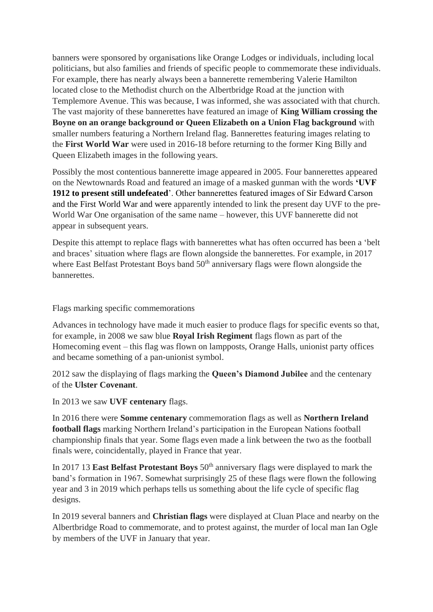banners were sponsored by organisations like Orange Lodges or individuals, including local politicians, but also families and friends of specific people to commemorate these individuals. For example, there has nearly always been a bannerette remembering Valerie Hamilton located close to the Methodist church on the Albertbridge Road at the junction with Templemore Avenue. This was because, I was informed, she was associated with that church. The vast majority of these bannerettes have featured an image of **King William crossing the Boyne on an orange background or Queen Elizabeth on a Union Flag background** with smaller numbers featuring a Northern Ireland flag. Bannerettes featuring images relating to the **First World War** were used in 2016-18 before returning to the former King Billy and Queen Elizabeth images in the following years.

Possibly the most contentious bannerette image appeared in 2005. Four bannerettes appeared on the Newtownards Road and featured an image of a masked gunman with the words **'UVF 1912 to present still undefeated**'. Other bannerettes featured images of Sir Edward Carson and the First World War and were apparently intended to link the present day UVF to the pre-World War One organisation of the same name – however, this UVF bannerette did not appear in subsequent years.

Despite this attempt to replace flags with bannerettes what has often occurred has been a 'belt and braces' situation where flags are flown alongside the bannerettes. For example, in 2017 where East Belfast Protestant Boys band  $50<sup>th</sup>$  anniversary flags were flown alongside the bannerettes.

Flags marking specific commemorations

Advances in technology have made it much easier to produce flags for specific events so that, for example, in 2008 we saw blue **Royal Irish Regiment** flags flown as part of the Homecoming event – this flag was flown on lampposts, Orange Halls, unionist party offices and became something of a pan-unionist symbol.

2012 saw the displaying of flags marking the **Queen's Diamond Jubilee** and the centenary of the **Ulster Covenant**.

In 2013 we saw **UVF centenary** flags.

In 2016 there were **Somme centenary** commemoration flags as well as **Northern Ireland football flags** marking Northern Ireland's participation in the European Nations football championship finals that year. Some flags even made a link between the two as the football finals were, coincidentally, played in France that year.

In 2017 13 **East Belfast Protestant Boys** 50<sup>th</sup> anniversary flags were displayed to mark the band's formation in 1967. Somewhat surprisingly 25 of these flags were flown the following year and 3 in 2019 which perhaps tells us something about the life cycle of specific flag designs.

In 2019 several banners and **Christian flags** were displayed at Cluan Place and nearby on the Albertbridge Road to commemorate, and to protest against, the murder of local man Ian Ogle by members of the UVF in January that year.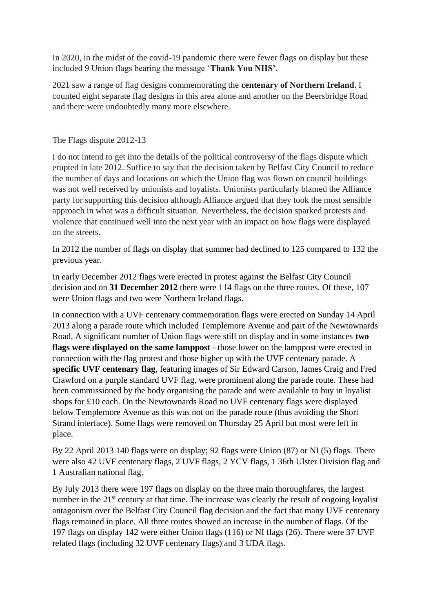In 2020, in the midst of the covid-19 pandemic there were fewer flags on display but these included 9 Union flags bearing the message '**Thank You NHS'.**

2021 saw a range of flag designs commemorating the **centenary of Northern Ireland**. I counted eight separate flag designs in this area alone and another on the Beersbridge Road and there were undoubtedly many more elsewhere.

## The Flags dispute 2012-13

I do not intend to get into the details of the political controversy of the flags dispute which erupted in late 2012. Suffice to say that the decision taken by Belfast City Council to reduce the number of days and locations on which the Union flag was flown on council buildings was not well received by unionists and loyalists. Unionists particularly blamed the Alliance party for supporting this decision although Alliance argued that they took the most sensible approach in what was a difficult situation. Nevertheless, the decision sparked protests and violence that continued well into the next year with an impact on how flags were displayed on the streets.

In 2012 the number of flags on display that summer had declined to 125 compared to 132 the previous year.

In early December 2012 flags were erected in protest against the Belfast City Council decision and on **31 December 2012** there were 114 flags on the three routes. Of these, 107 were Union flags and two were Northern Ireland flags.

In connection with a UVF centenary commemoration flags were erected on Sunday 14 April 2013 along a parade route which included Templemore Avenue and part of the Newtownards Road. A significant number of Union flags were still on display and in some instances **two flags were displayed on the same lamppost** - those lower on the lamppost were erected in connection with the flag protest and those higher up with the UVF centenary parade. A **specific UVF centenary flag**, featuring images of Sir Edward Carson, James Craig and Fred Crawford on a purple standard UVF flag, were prominent along the parade route. These had been commissioned by the body organising the parade and were available to buy in loyalist shops for £10 each. On the Newtownards Road no UVF centenary flags were displayed below Templemore Avenue as this was not on the parade route (thus avoiding the Short Strand interface). Some flags were removed on Thursday 25 April but most were left in place.

By 22 April 2013 140 flags were on display; 92 flags were Union (87) or NI (5) flags. There were also 42 UVF centenary flags, 2 UVF flags, 2 YCV flags, 1 36th Ulster Division flag and 1 Australian national flag.

By July 2013 there were 197 flags on display on the three main thoroughfares, the largest number in the 21<sup>st</sup> century at that time. The increase was clearly the result of ongoing loyalist antagonism over the Belfast City Council flag decision and the fact that many UVF centenary flags remained in place. All three routes showed an increase in the number of flags. Of the 197 flags on display 142 were either Union flags (116) or NI flags (26). There were 37 UVF related flags (including 32 UVF centenary flags) and 3 UDA flags.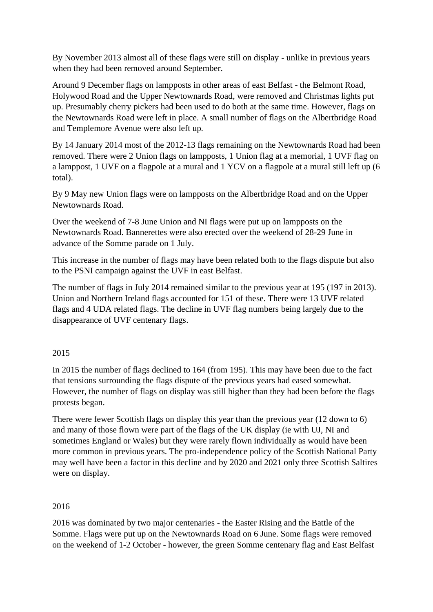By November 2013 almost all of these flags were still on display - unlike in previous years when they had been removed around September.

Around 9 December flags on lampposts in other areas of east Belfast - the Belmont Road, Holywood Road and the Upper Newtownards Road, were removed and Christmas lights put up. Presumably cherry pickers had been used to do both at the same time. However, flags on the Newtownards Road were left in place. A small number of flags on the Albertbridge Road and Templemore Avenue were also left up.

By 14 January 2014 most of the 2012-13 flags remaining on the Newtownards Road had been removed. There were 2 Union flags on lampposts, 1 Union flag at a memorial, 1 UVF flag on a lamppost, 1 UVF on a flagpole at a mural and 1 YCV on a flagpole at a mural still left up (6 total).

By 9 May new Union flags were on lampposts on the Albertbridge Road and on the Upper Newtownards Road.

Over the weekend of 7-8 June Union and NI flags were put up on lampposts on the Newtownards Road. Bannerettes were also erected over the weekend of 28-29 June in advance of the Somme parade on 1 July.

This increase in the number of flags may have been related both to the flags dispute but also to the PSNI campaign against the UVF in east Belfast.

The number of flags in July 2014 remained similar to the previous year at 195 (197 in 2013). Union and Northern Ireland flags accounted for 151 of these. There were 13 UVF related flags and 4 UDA related flags. The decline in UVF flag numbers being largely due to the disappearance of UVF centenary flags.

## 2015

In 2015 the number of flags declined to 164 (from 195). This may have been due to the fact that tensions surrounding the flags dispute of the previous years had eased somewhat. However, the number of flags on display was still higher than they had been before the flags protests began.

There were fewer Scottish flags on display this year than the previous year (12 down to 6) and many of those flown were part of the flags of the UK display (ie with UJ, NI and sometimes England or Wales) but they were rarely flown individually as would have been more common in previous years. The pro-independence policy of the Scottish National Party may well have been a factor in this decline and by 2020 and 2021 only three Scottish Saltires were on display.

## 2016

2016 was dominated by two major centenaries - the Easter Rising and the Battle of the Somme. Flags were put up on the Newtownards Road on 6 June. Some flags were removed on the weekend of 1-2 October - however, the green Somme centenary flag and East Belfast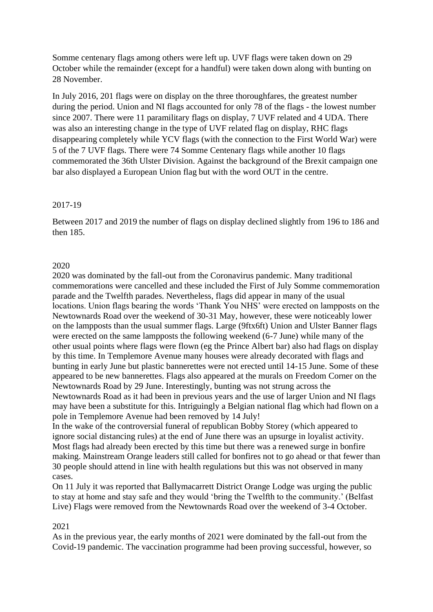Somme centenary flags among others were left up. UVF flags were taken down on 29 October while the remainder (except for a handful) were taken down along with bunting on 28 November.

In July 2016, 201 flags were on display on the three thoroughfares, the greatest number during the period. Union and NI flags accounted for only 78 of the flags - the lowest number since 2007. There were 11 paramilitary flags on display, 7 UVF related and 4 UDA. There was also an interesting change in the type of UVF related flag on display, RHC flags disappearing completely while YCV flags (with the connection to the First World War) were 5 of the 7 UVF flags. There were 74 Somme Centenary flags while another 10 flags commemorated the 36th Ulster Division. Against the background of the Brexit campaign one bar also displayed a European Union flag but with the word OUT in the centre.

## 2017-19

Between 2017 and 2019 the number of flags on display declined slightly from 196 to 186 and then 185.

## 2020

2020 was dominated by the fall-out from the Coronavirus pandemic. Many traditional commemorations were cancelled and these included the First of July Somme commemoration parade and the Twelfth parades. Nevertheless, flags did appear in many of the usual locations. Union flags bearing the words 'Thank You NHS' were erected on lampposts on the Newtownards Road over the weekend of 30-31 May, however, these were noticeably lower on the lampposts than the usual summer flags. Large (9ftx6ft) Union and Ulster Banner flags were erected on the same lampposts the following weekend (6-7 June) while many of the other usual points where flags were flown (eg the Prince Albert bar) also had flags on display by this time. In Templemore Avenue many houses were already decorated with flags and bunting in early June but plastic bannerettes were not erected until 14-15 June. Some of these appeared to be new bannerettes. Flags also appeared at the murals on Freedom Corner on the Newtownards Road by 29 June. Interestingly, bunting was not strung across the Newtownards Road as it had been in previous years and the use of larger Union and NI flags may have been a substitute for this. Intriguingly a Belgian national flag which had flown on a pole in Templemore Avenue had been removed by 14 July!

In the wake of the controversial funeral of republican Bobby Storey (which appeared to ignore social distancing rules) at the end of June there was an upsurge in loyalist activity. Most flags had already been erected by this time but there was a renewed surge in bonfire making. Mainstream Orange leaders still called for bonfires not to go ahead or that fewer than 30 people should attend in line with health regulations but this was not observed in many cases.

On 11 July it was reported that Ballymacarrett District Orange Lodge was urging the public to stay at home and stay safe and they would 'bring the Twelfth to the community.' (Belfast Live) Flags were removed from the Newtownards Road over the weekend of 3-4 October.

## 2021

As in the previous year, the early months of 2021 were dominated by the fall-out from the Covid-19 pandemic. The vaccination programme had been proving successful, however, so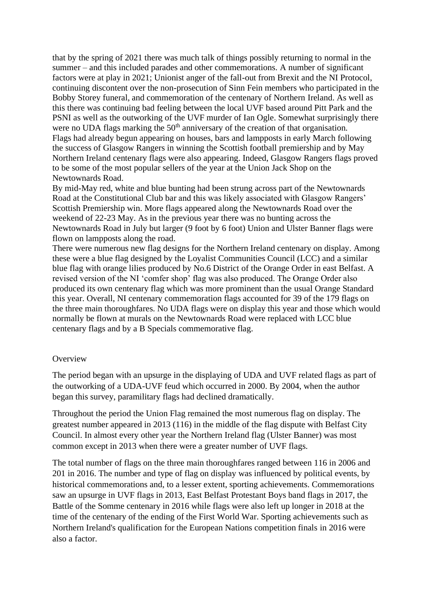that by the spring of 2021 there was much talk of things possibly returning to normal in the summer – and this included parades and other commemorations. A number of significant factors were at play in 2021; Unionist anger of the fall-out from Brexit and the NI Protocol, continuing discontent over the non-prosecution of Sinn Fein members who participated in the Bobby Storey funeral, and commemoration of the centenary of Northern Ireland. As well as this there was continuing bad feeling between the local UVF based around Pitt Park and the PSNI as well as the outworking of the UVF murder of Ian Ogle. Somewhat surprisingly there were no UDA flags marking the  $50<sup>th</sup>$  anniversary of the creation of that organisation. Flags had already begun appearing on houses, bars and lampposts in early March following the success of Glasgow Rangers in winning the Scottish football premiership and by May Northern Ireland centenary flags were also appearing. Indeed, Glasgow Rangers flags proved to be some of the most popular sellers of the year at the Union Jack Shop on the Newtownards Road.

By mid-May red, white and blue bunting had been strung across part of the Newtownards Road at the Constitutional Club bar and this was likely associated with Glasgow Rangers' Scottish Premiership win. More flags appeared along the Newtownards Road over the weekend of 22-23 May. As in the previous year there was no bunting across the Newtownards Road in July but larger (9 foot by 6 foot) Union and Ulster Banner flags were flown on lampposts along the road.

There were numerous new flag designs for the Northern Ireland centenary on display. Among these were a blue flag designed by the Loyalist Communities Council (LCC) and a similar blue flag with orange lilies produced by No.6 District of the Orange Order in east Belfast. A revised version of the NI 'comfer shop' flag was also produced. The Orange Order also produced its own centenary flag which was more prominent than the usual Orange Standard this year. Overall, NI centenary commemoration flags accounted for 39 of the 179 flags on the three main thoroughfares. No UDA flags were on display this year and those which would normally be flown at murals on the Newtownards Road were replaced with LCC blue centenary flags and by a B Specials commemorative flag.

## **Overview**

The period began with an upsurge in the displaying of UDA and UVF related flags as part of the outworking of a UDA-UVF feud which occurred in 2000. By 2004, when the author began this survey, paramilitary flags had declined dramatically.

Throughout the period the Union Flag remained the most numerous flag on display. The greatest number appeared in 2013 (116) in the middle of the flag dispute with Belfast City Council. In almost every other year the Northern Ireland flag (Ulster Banner) was most common except in 2013 when there were a greater number of UVF flags.

The total number of flags on the three main thoroughfares ranged between 116 in 2006 and 201 in 2016. The number and type of flag on display was influenced by political events, by historical commemorations and, to a lesser extent, sporting achievements. Commemorations saw an upsurge in UVF flags in 2013, East Belfast Protestant Boys band flags in 2017, the Battle of the Somme centenary in 2016 while flags were also left up longer in 2018 at the time of the centenary of the ending of the First World War. Sporting achievements such as Northern Ireland's qualification for the European Nations competition finals in 2016 were also a factor.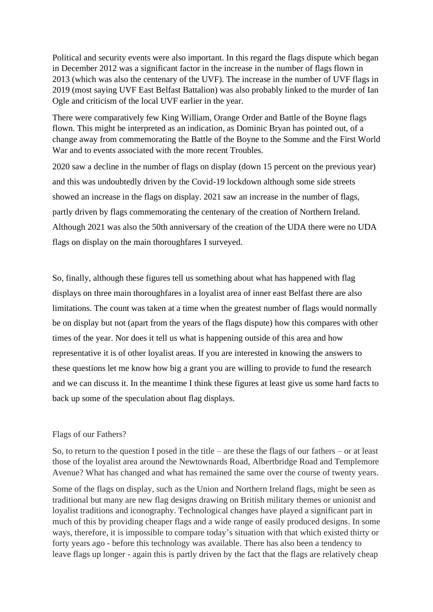Political and security events were also important. In this regard the flags dispute which began in December 2012 was a significant factor in the increase in the number of flags flown in 2013 (which was also the centenary of the UVF). The increase in the number of UVF flags in 2019 (most saying UVF East Belfast Battalion) was also probably linked to the murder of Ian Ogle and criticism of the local UVF earlier in the year.

There were comparatively few King William, Orange Order and Battle of the Boyne flags flown. This might be interpreted as an indication, as Dominic Bryan has pointed out, of a change away from commemorating the Battle of the Boyne to the Somme and the First World War and to events associated with the more recent Troubles.

2020 saw a decline in the number of flags on display (down 15 percent on the previous year) and this was undoubtedly driven by the Covid-19 lockdown although some side streets showed an increase in the flags on display. 2021 saw an increase in the number of flags, partly driven by flags commemorating the centenary of the creation of Northern Ireland. Although 2021 was also the 50th anniversary of the creation of the UDA there were no UDA flags on display on the main thoroughfares I surveyed.

So, finally, although these figures tell us something about what has happened with flag displays on three main thoroughfares in a loyalist area of inner east Belfast there are also limitations. The count was taken at a time when the greatest number of flags would normally be on display but not (apart from the years of the flags dispute) how this compares with other times of the year. Nor does it tell us what is happening outside of this area and how representative it is of other loyalist areas. If you are interested in knowing the answers to these questions let me know how big a grant you are willing to provide to fund the research and we can discuss it. In the meantime I think these figures at least give us some hard facts to back up some of the speculation about flag displays.

## Flags of our Fathers?

So, to return to the question I posed in the title – are these the flags of our fathers – or at least those of the loyalist area around the Newtownards Road, Albertbridge Road and Templemore Avenue? What has changed and what has remained the same over the course of twenty years.

Some of the flags on display, such as the Union and Northern Ireland flags, might be seen as traditional but many are new flag designs drawing on British military themes or unionist and loyalist traditions and iconography. Technological changes have played a significant part in much of this by providing cheaper flags and a wide range of easily produced designs. In some ways, therefore, it is impossible to compare today's situation with that which existed thirty or forty years ago - before this technology was available. There has also been a tendency to leave flags up longer - again this is partly driven by the fact that the flags are relatively cheap